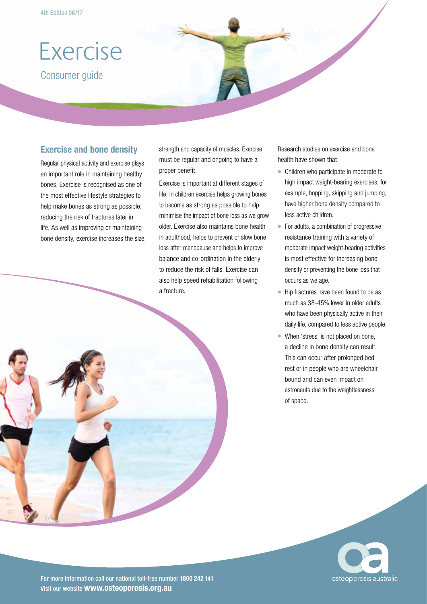# Exercise

Consumer guide

## **Exercise and bone density**

Regular physical activity and exercise plays an important role in maintaining healthy bones. Exercise is recognised as one of the most effective lifestyle strategies to help make bones as strong as possible, reducing the risk of fractures later in life. As well as improving or maintaining bone density, exercise increases the size, strength and capacity of muscles. Exercise must be regular and ongoing to have a proper benefit.

Exercise is important at different stages of life. In children exercise helps growing bones to become as strong as possible to help minimise the impact of bone loss as we grow older. Exercise also maintains bone health in adulthood, helps to prevent or slow bone loss after menopause and helps to improve balance and co-ordination in the elderly to reduce the risk of falls. Exercise can also help speed rehabilitation following a fracture.

Research studies on exercise and bone health have shown that:

- Children who participate in moderate to high impact weight-bearing exercises, for example, hopping, skipping and jumping, have higher bone density compared to less active children.
- For adults, a combination of progressive resistance training with a variety of moderate impact weight-bearing activities is most effective for increasing bone density or preventing the bone loss that occurs as we age.
- Hip fractures have been found to be as much as 38-45% lower in older adults who have been physically active in their daily life, compared to less active people.
- When 'stress' is not placed on bone, a decline in bone density can result. This can occur after prolonged bed rest or in people who are wheelchair bound and can even impact on astronauts due to the weightlessness of space.



For more information call our national toll-free number **1800 242 141** Visit our website **www.osteoporosis.org.au**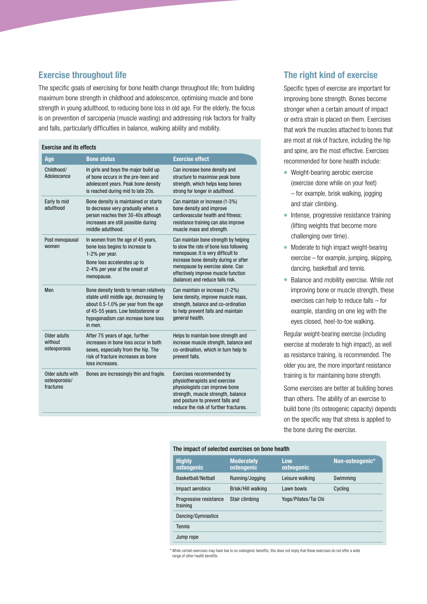## **Exercise throughout life**

The specific goals of exercising for bone health change throughout life; from building maximum bone strength in childhood and adolescence, optimising muscle and bone strength in young adulthood, to reducing bone loss in old age. For the elderly, the focus is on prevention of sarcopenia (muscle wasting) and addressing risk factors for frailty and falls, particularly difficulties in balance, walking ability and mobility.

#### Exercise and its effects **Age Bone status Exercise effect** Childhood/ Adolescence In girls and boys the major build up of bone occurs in the pre-teen and adolescent years. Peak bone density is reached during mid to late 20s. Can increase bone density and structure to maximise peak bone strength, which helps keep bones strong for longer in adulthood. Early to mid adulthood Bone density is maintained or starts to decrease very gradually when a person reaches their 30-40s although increases are still possible during middle adulthood. Can maintain or increase (1-3%) bone density and improve cardiovascular health and fitness; resistance training can also improve muscle mass and strength. Post menopausal women In women from the age of 45 years, bone loss begins to increase to 1-2% per year. Bone loss accelerates up to 2-4% per year at the onset of menopause. Can maintain bone strength by helping to slow the rate of bone loss following menopause. It is very difficult to increase bone density during or after menopause by exercise alone. Can effectively improve muscle function (balance) and reduce falls risk. Men Bone density tends to remain relatively stable until middle age, decreasing by about 0.5-1.0% per year from the age of 45-55 years. Low testosterone or hypogonadism can increase bone loss in men. Can maintain or increase (1-2%) bone density, improve muscle mass, strength, balance and co-ordination to help prevent falls and maintain general health. Older adults without osteoporosis After 75 years of age, further increases in bone loss occur in both sexes, especially from the hip. The risk of fracture increases as bone loss increases. Helps to maintain bone strength and increase muscle strength, balance and co-ordination, which in turn help to prevent falls. Older adults with osteoporosis/ fractures Bones are increasingly thin and fragile. Exercises recommended by physiotherapists and exercise physiologists can improve bone strength, muscle strength, balance and posture to prevent falls and reduce the risk of further fractures.

## **The right kind of exercise**

Specific types of exercise are important for improving bone strength. Bones become stronger when a certain amount of impact or extra strain is placed on them. Exercises that work the muscles attached to bones that are most at risk of fracture, including the hip and spine, are the most effective. Exercises recommended for bone health include:

- Weight-bearing aerobic exercise (exercise done while on your feet) – for example, brisk walking, jogging and stair climbing.
- Intense, progressive resistance training (lifting weights that become more challenging over time).
- Moderate to high impact weight-bearing exercise – for example, jumping, skipping, dancing, basketball and tennis.
- Balance and mobility exercise. While not improving bone or muscle strength, these exercises can help to reduce falls – for example, standing on one leg with the eyes closed, heel-to-toe walking.

Regular weight-bearing exercise (including exercise at moderate to high impact), as well as resistance training, is recommended. The older you are, the more important resistance training is for maintaining bone strength.

Some exercises are better at building bones than others. The ability of an exercise to build bone (its osteogenic capacity) depends on the specific way that stress is applied to the bone during the exercise.

#### The impact of selected exercises on bone health

| <b>Highly</b><br>osteogenic        | <b>Moderately</b><br>osteogenic | Low<br>osteogenic    | Non-osteogenic* |
|------------------------------------|---------------------------------|----------------------|-----------------|
| Basketball/Netball                 | Running/Jogging                 | Leisure walking      | Swimming        |
| Impact aerobics                    | Brisk/Hill walking              | Lawn bowls           | Cycling         |
| Progressive resistance<br>training | Stair climbing                  | Yoga/Pilates/Tai Chi |                 |
| Dancing/Gymnastics                 |                                 |                      |                 |
| <b>Tennis</b>                      |                                 |                      |                 |
| Jump rope                          |                                 |                      |                 |

\* While certain exercises may have low to no osteogenic benefits, this does not imply that these exercises do not offer a wide range of other health benefit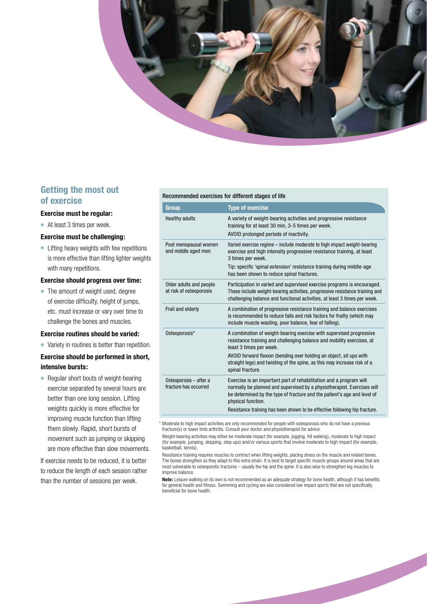

## **Getting the most out of exercise**

#### **Exercise must be regular:**

● At least 3 times per week.

#### **Exercise must be challenging:**

● Lifting heavy weights with few repetitions is more effective than lifting lighter weights with many repetitions.

### **Exercise should progress over time:**

• The amount of weight used, degree of exercise difficulty, height of jumps, etc. must increase or vary over time to challenge the bones and muscles.

#### **Exercise routines should be varied:**

● Variety in routines is better than repetition.

### **Exercise should be performed in short, intensive bursts:**

● Regular short bouts of weight-bearing exercise separated by several hours are better than one long session. Lifting weights quickly is more effective for improving muscle function than lifting them slowly. Rapid, short bursts of movement such as jumping or skipping are more effective than slow movements.

If exercise needs to be reduced, it is better to reduce the length of each session rather than the number of sessions per week.

#### Recommended exercises for different stages of life

| Group                                              | <b>Type of exercise</b>                                                                                                                                                                                                                                                                                                                          |
|----------------------------------------------------|--------------------------------------------------------------------------------------------------------------------------------------------------------------------------------------------------------------------------------------------------------------------------------------------------------------------------------------------------|
| <b>Healthy adults</b>                              | A variety of weight-bearing activities and progressive resistance<br>training for at least 30 min, 3-5 times per week.<br>AVOID prolonged periods of inactivity.                                                                                                                                                                                 |
| Post menopausal women<br>and middle aged men       | Varied exercise regime - include moderate to high impact weight-bearing<br>exercise and high intensity progressive resistance training, at least<br>3 times per week.<br>Tip: specific 'spinal extension' resistance training during middle-age<br>has been shown to reduce spinal fractures.                                                    |
| Older adults and people<br>at risk of osteoporosis | Participation in varied and supervised exercise programs is encouraged.<br>These include weight-bearing activities, progressive resistance training and<br>challenging balance and functional activities, at least 3 times per week.                                                                                                             |
| Frail and elderly                                  | A combination of progressive resistance training and balance exercises<br>is recommended to reduce falls and risk factors for frailty (which may<br>include muscle wasting, poor balance, fear of falling).                                                                                                                                      |
| Osteoporosis*                                      | A combination of weight-bearing exercise with supervised progressive<br>resistance training and challenging balance and mobility exercises, at<br>least 3 times per week.<br>AVOID forward flexion (bending over holding an object, sit ups with<br>straight legs) and twisting of the spine, as this may increase risk of a<br>spinal fracture. |
| Osteoporosis - after a<br>fracture has occurred    | Exercise is an important part of rehabilitation and a program will<br>normally be planned and supervised by a physiotherapist. Exercises will<br>be determined by the type of fracture and the patient's age and level of<br>physical function.<br>Resistance training has been shown to be effective following hip fracture.                    |
|                                                    |                                                                                                                                                                                                                                                                                                                                                  |

\* Moderate to high impact activities are only recommended for people with osteoporosis who do not have a previous fracture(s) or lower limb arthritis. Consult your doctor and physiotherapist for advice.

 Weight-bearing activities may either be moderate impact (for example, jogging, hill walking), moderate to high impact (for example, jumping, skipping, step ups) and/or various sports that involve moderate to high impact (for example, basketball, tennis).

 Resistance training requires muscles to contract when lifting weights, placing stress on the muscle and related bones. The bones strengthen as they adapt to this extra strain. It is best to target specific muscle groups around areas that are most vulnerable to osteoporotic fractures – usually the hip and the spine. It is also wise to strengthen leg muscles to improve balance.

**Note:** Leisure walking on its own is not recommended as an adequate strategy for bone health, although it has benefits for general health and fitness. Swimming and cycling are also considered low impact sports that are not specifically beneficial for bone health.